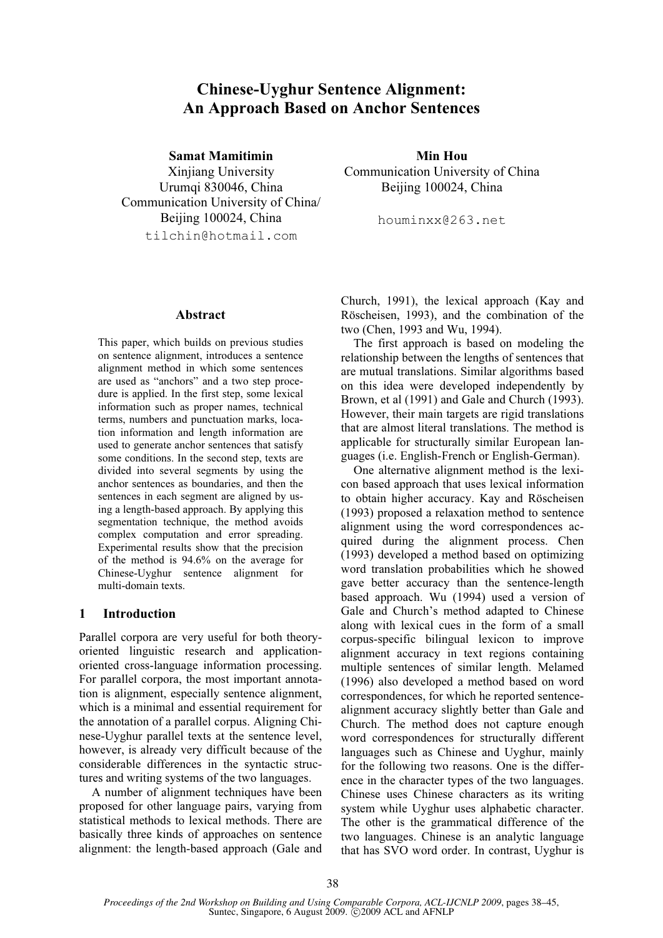# Chinese-Uyghur Sentence Alignment: An Approach Based on Anchor Sentences

Samat Mamitimin

Xinjiang University Urumqi 830046, China Communication University of China/ Beijing 100024, China tilchin@hotmail.com

Abstract

This paper, which builds on previous studies on sentence alignment, introduces a sentence alignment method in which some sentences are used as "anchors" and a two step procedure is applied. In the first step, some lexical information such as proper names, technical terms, numbers and punctuation marks, location information and length information are used to generate anchor sentences that satisfy some conditions. In the second step, texts are divided into several segments by using the anchor sentences as boundaries, and then the sentences in each segment are aligned by using a length-based approach. By applying this segmentation technique, the method avoids complex computation and error spreading. Experimental results show that the precision of the method is 94.6% on the average for Chinese-Uyghur sentence alignment for multi-domain texts.

# 1 Introduction

Parallel corpora are very useful for both theoryoriented linguistic research and applicationoriented cross-language information processing. For parallel corpora, the most important annotation is alignment, especially sentence alignment, which is a minimal and essential requirement for the annotation of a parallel corpus. Aligning Chinese-Uyghur parallel texts at the sentence level, however, is already very difficult because of the considerable differences in the syntactic structures and writing systems of the two languages.

A number of alignment techniques have been proposed for other language pairs, varying from statistical methods to lexical methods. There are basically three kinds of approaches on sentence alignment: the length-based approach (Gale and

Min Hou Communication University of China Beijing 100024, China

houminxx@263.net

Church, 1991), the lexical approach (Kay and Röscheisen, 1993), and the combination of the two (Chen, 1993 and Wu, 1994).

The first approach is based on modeling the relationship between the lengths of sentences that are mutual translations. Similar algorithms based on this idea were developed independently by Brown, et al (1991) and Gale and Church (1993). However, their main targets are rigid translations that are almost literal translations. The method is applicable for structurally similar European languages (i.e. English-French or English-German).

One alternative alignment method is the lexicon based approach that uses lexical information to obtain higher accuracy. Kay and Röscheisen (1993) proposed a relaxation method to sentence alignment using the word correspondences acquired during the alignment process. Chen (1993) developed a method based on optimizing word translation probabilities which he showed gave better accuracy than the sentence-length based approach. Wu (1994) used a version of Gale and Church's method adapted to Chinese along with lexical cues in the form of a small corpus-specific bilingual lexicon to improve alignment accuracy in text regions containing multiple sentences of similar length. Melamed (1996) also developed a method based on word correspondences, for which he reported sentencealignment accuracy slightly better than Gale and Church. The method does not capture enough word correspondences for structurally different languages such as Chinese and Uyghur, mainly for the following two reasons. One is the difference in the character types of the two languages. Chinese uses Chinese characters as its writing system while Uyghur uses alphabetic character. The other is the grammatical difference of the two languages. Chinese is an analytic language that has SVO word order. In contrast, Uyghur is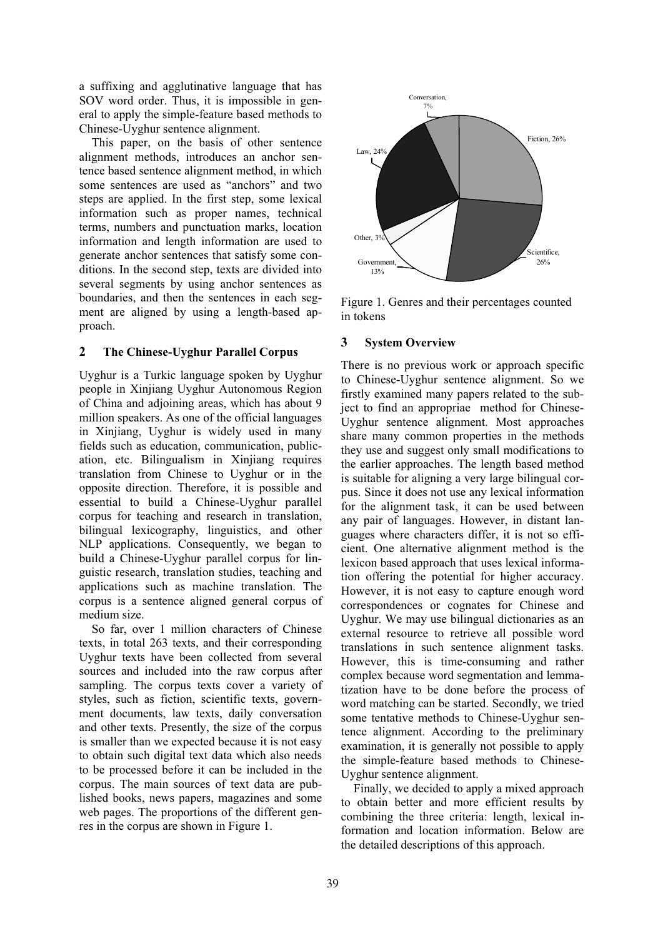a suffixing and agglutinative language that has SOV word order. Thus, it is impossible in general to apply the simple-feature based methods to Chinese-Uyghur sentence alignment.

This paper, on the basis of other sentence alignment methods, introduces an anchor sentence based sentence alignment method, in which some sentences are used as "anchors" and two steps are applied. In the first step, some lexical information such as proper names, technical terms, numbers and punctuation marks, location information and length information are used to generate anchor sentences that satisfy some conditions. In the second step, texts are divided into several segments by using anchor sentences as boundaries, and then the sentences in each segment are aligned by using a length-based approach.

# 2 The Chinese-Uyghur Parallel Corpus

Uyghur is a Turkic language spoken by Uyghur people in Xinjiang Uyghur Autonomous Region of China and adjoining areas, which has about 9 million speakers. As one of the official languages in Xinjiang, Uyghur is widely used in many fields such as education, communication, publication, etc. Bilingualism in Xinjiang requires translation from Chinese to Uyghur or in the opposite direction. Therefore, it is possible and essential to build a Chinese-Uyghur parallel corpus for teaching and research in translation, bilingual lexicography, linguistics, and other NLP applications. Consequently, we began to build a Chinese-Uyghur parallel corpus for linguistic research, translation studies, teaching and applications such as machine translation. The corpus is a sentence aligned general corpus of medium size.

So far, over 1 million characters of Chinese texts, in total 263 texts, and their corresponding Uyghur texts have been collected from several sources and included into the raw corpus after sampling. The corpus texts cover a variety of styles, such as fiction, scientific texts, government documents, law texts, daily conversation and other texts. Presently, the size of the corpus is smaller than we expected because it is not easy to obtain such digital text data which also needs to be processed before it can be included in the corpus. The main sources of text data are published books, news papers, magazines and some web pages. The proportions of the different genres in the corpus are shown in Figure 1.



Figure 1. Genres and their percentages counted in tokens

# 3 System Overview

There is no previous work or approach specific to Chinese-Uyghur sentence alignment. So we firstly examined many papers related to the subject to find an appropriae method for Chinese-Uyghur sentence alignment. Most approaches share many common properties in the methods they use and suggest only small modifications to the earlier approaches. The length based method is suitable for aligning a very large bilingual corpus. Since it does not use any lexical information for the alignment task, it can be used between any pair of languages. However, in distant languages where characters differ, it is not so efficient. One alternative alignment method is the lexicon based approach that uses lexical information offering the potential for higher accuracy. However, it is not easy to capture enough word correspondences or cognates for Chinese and Uyghur. We may use bilingual dictionaries as an external resource to retrieve all possible word translations in such sentence alignment tasks. However, this is time-consuming and rather complex because word segmentation and lemmatization have to be done before the process of word matching can be started. Secondly, we tried some tentative methods to Chinese-Uyghur sentence alignment. According to the preliminary examination, it is generally not possible to apply the simple-feature based methods to Chinese-Uyghur sentence alignment.

Finally, we decided to apply a mixed approach to obtain better and more efficient results by combining the three criteria: length, lexical information and location information. Below are the detailed descriptions of this approach.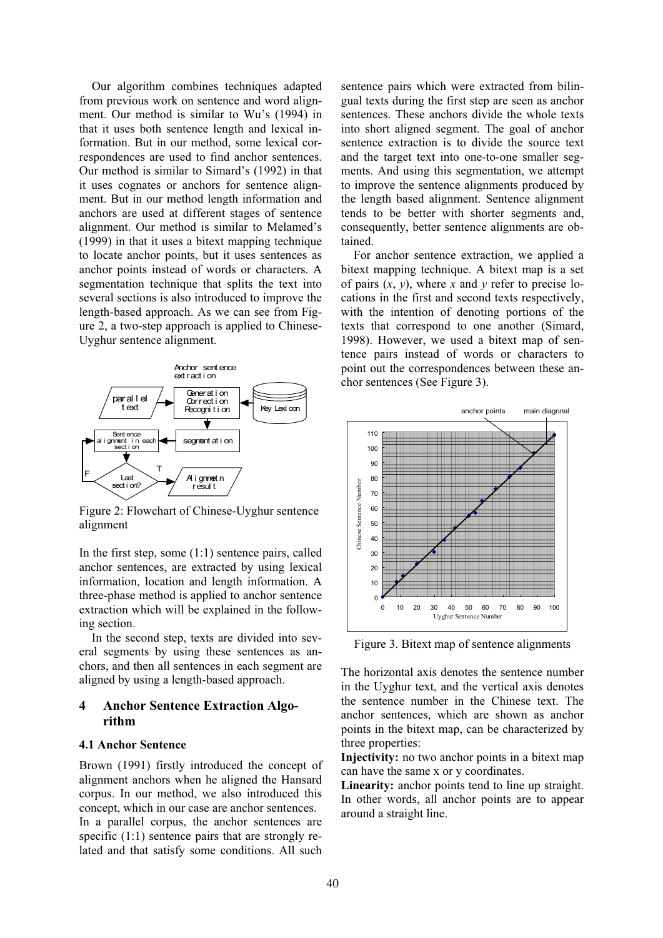Our algorithm combines techniques adapted from previous work on sentence and word alignment. Our method is similar to Wu's (1994) in that it uses both sentence length and lexical information. But in our method, some lexical correspondences are used to find anchor sentences. Our method is similar to Simard's (1992) in that it uses cognates or anchors for sentence alignment. But in our method length information and anchors are used at different stages of sentence alignment. Our method is similar to Melamed's (1999) in that it uses a bitext mapping technique to locate anchor points, but it uses sentences as anchor points instead of words or characters. A segmentation technique that splits the text into several sections is also introduced to improve the length-based approach. As we can see from Figure 2, a two-step approach is applied to Chinese-Uyghur sentence alignment.



Figure 2: Flowchart of Chinese-Uyghur sentence alignment

In the first step, some (1:1) sentence pairs, called anchor sentences, are extracted by using lexical information, location and length information. A three-phase method is applied to anchor sentence extraction which will be explained in the following section.

In the second step, texts are divided into several segments by using these sentences as anchors, and then all sentences in each segment are aligned by using a length-based approach.

# 4 Anchor Sentence Extraction Algorithm

#### 4.1 Anchor Sentence

Brown (1991) firstly introduced the concept of alignment anchors when he aligned the Hansard corpus. In our method, we also introduced this concept, which in our case are anchor sentences. In a parallel corpus, the anchor sentences are specific (1:1) sentence pairs that are strongly related and that satisfy some conditions. All such

sentence pairs which were extracted from bilingual texts during the first step are seen as anchor sentences. These anchors divide the whole texts into short aligned segment. The goal of anchor sentence extraction is to divide the source text and the target text into one-to-one smaller segments. And using this segmentation, we attempt to improve the sentence alignments produced by the length based alignment. Sentence alignment tends to be better with shorter segments and, consequently, better sentence alignments are obtained.

For anchor sentence extraction, we applied a bitext mapping technique. A bitext map is a set of pairs  $(x, y)$ , where x and y refer to precise locations in the first and second texts respectively, with the intention of denoting portions of the texts that correspond to one another (Simard, 1998). However, we used a bitext map of sentence pairs instead of words or characters to point out the correspondences between these anchor sentences (See Figure 3).



Figure 3. Bitext map of sentence alignments

The horizontal axis denotes the sentence number in the Uyghur text, and the vertical axis denotes the sentence number in the Chinese text. The anchor sentences, which are shown as anchor points in the bitext map, can be characterized by three properties:

Injectivity: no two anchor points in a bitext map can have the same x or y coordinates.

Linearity: anchor points tend to line up straight. In other words, all anchor points are to appear around a straight line.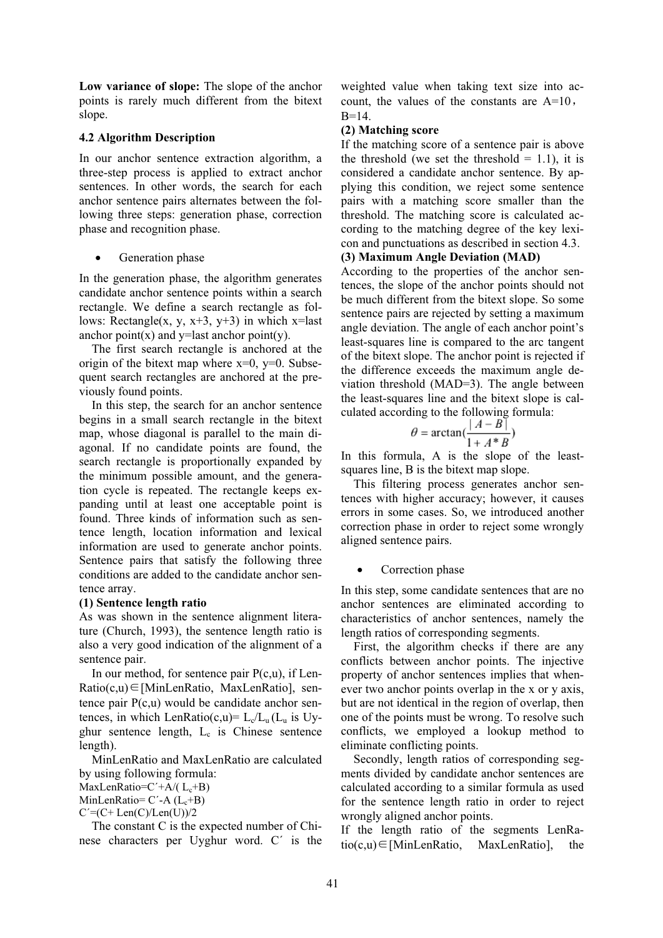Low variance of slope: The slope of the anchor points is rarely much different from the bitext slope.

### 4.2 Algorithm Description

In our anchor sentence extraction algorithm, a three-step process is applied to extract anchor sentences. In other words, the search for each anchor sentence pairs alternates between the following three steps: generation phase, correction phase and recognition phase.

Generation phase

In the generation phase, the algorithm generates candidate anchor sentence points within a search rectangle. We define a search rectangle as follows: Rectangle(x, y,  $x+3$ ,  $y+3$ ) in which  $x=$ last anchor point $(x)$  and y=last anchor point $(y)$ .

The first search rectangle is anchored at the origin of the bitext map where  $x=0$ ,  $y=0$ . Subsequent search rectangles are anchored at the previously found points.

In this step, the search for an anchor sentence begins in a small search rectangle in the bitext map, whose diagonal is parallel to the main diagonal. If no candidate points are found, the search rectangle is proportionally expanded by the minimum possible amount, and the generation cycle is repeated. The rectangle keeps expanding until at least one acceptable point is found. Three kinds of information such as sentence length, location information and lexical information are used to generate anchor points. Sentence pairs that satisfy the following three conditions are added to the candidate anchor sentence array.

# (1) Sentence length ratio

As was shown in the sentence alignment literature (Church, 1993), the sentence length ratio is also a very good indication of the alignment of a sentence pair.

In our method, for sentence pair  $P(c, u)$ , if Len-Ratio(c,u)∈[MinLenRatio, MaxLenRatio], sentence pair P(c,u) would be candidate anchor sentences, in which LenRatio(c,u)=  $L_c/L_u$  ( $L_u$  is Uyghur sentence length,  $L_c$  is Chinese sentence length).

MinLenRatio and MaxLenRatio are calculated by using following formula: MaxLenRatio= $C' + A/(L_c + B)$ 

MinLenRatio=  $C'$ -A  $(L_c + B)$ 

 $C' = (C + Len(C)/Len(U))/2$ 

The constant C is the expected number of Chinese characters per Uyghur word. C´ is the

weighted value when taking text size into account, the values of the constants are A=10,  $B=14$ .

# (2) Matching score

If the matching score of a sentence pair is above the threshold (we set the threshold  $= 1.1$ ), it is considered a candidate anchor sentence. By applying this condition, we reject some sentence pairs with a matching score smaller than the threshold. The matching score is calculated according to the matching degree of the key lexicon and punctuations as described in section 4.3.

# (3) Maximum Angle Deviation (MAD)

According to the properties of the anchor sentences, the slope of the anchor points should not be much different from the bitext slope. So some sentence pairs are rejected by setting a maximum angle deviation. The angle of each anchor point's least-squares line is compared to the arc tangent of the bitext slope. The anchor point is rejected if the difference exceeds the maximum angle deviation threshold (MAD=3). The angle between the least-squares line and the bitext slope is calculated according to the following formula:

$$
\theta = \arctan\left(\frac{|A - B|}{1 + A^*B}\right)
$$

In this formula, A is the slope of the leastsquares line, B is the bitext map slope.

This filtering process generates anchor sentences with higher accuracy; however, it causes errors in some cases. So, we introduced another correction phase in order to reject some wrongly aligned sentence pairs.

# Correction phase

In this step, some candidate sentences that are no anchor sentences are eliminated according to characteristics of anchor sentences, namely the length ratios of corresponding segments.

First, the algorithm checks if there are any conflicts between anchor points. The injective property of anchor sentences implies that whenever two anchor points overlap in the x or y axis, but are not identical in the region of overlap, then one of the points must be wrong. To resolve such conflicts, we employed a lookup method to eliminate conflicting points.

Secondly, length ratios of corresponding segments divided by candidate anchor sentences are calculated according to a similar formula as used for the sentence length ratio in order to reject wrongly aligned anchor points.

If the length ratio of the segments LenRatio(c,u)∈[MinLenRatio, MaxLenRatio], the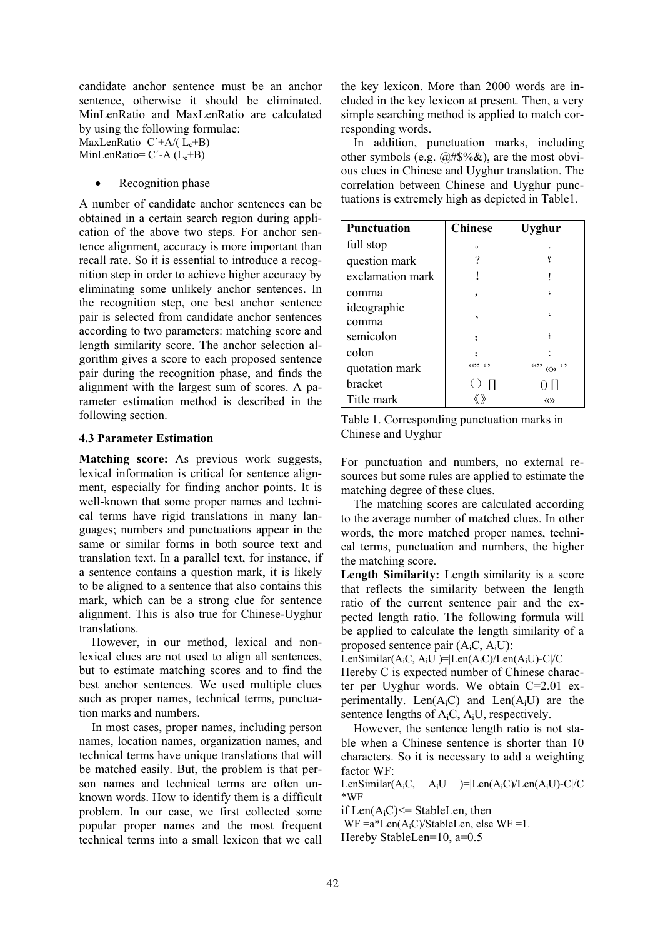candidate anchor sentence must be an anchor sentence, otherwise it should be eliminated. MinLenRatio and MaxLenRatio are calculated by using the following formulae:

MaxLenRatio= $C' + A/(L_c + B)$ MinLenRatio=  $C'$ -A  $(L_c + B)$ 

Recognition phase

A number of candidate anchor sentences can be obtained in a certain search region during application of the above two steps. For anchor sentence alignment, accuracy is more important than recall rate. So it is essential to introduce a recognition step in order to achieve higher accuracy by eliminating some unlikely anchor sentences. In the recognition step, one best anchor sentence pair is selected from candidate anchor sentences according to two parameters: matching score and length similarity score. The anchor selection algorithm gives a score to each proposed sentence pair during the recognition phase, and finds the alignment with the largest sum of scores. A parameter estimation method is described in the following section.

#### 4.3 Parameter Estimation

Matching score: As previous work suggests, lexical information is critical for sentence alignment, especially for finding anchor points. It is well-known that some proper names and technical terms have rigid translations in many languages; numbers and punctuations appear in the same or similar forms in both source text and translation text. In a parallel text, for instance, if a sentence contains a question mark, it is likely to be aligned to a sentence that also contains this mark, which can be a strong clue for sentence alignment. This is also true for Chinese-Uyghur translations.

However, in our method, lexical and nonlexical clues are not used to align all sentences, but to estimate matching scores and to find the best anchor sentences. We used multiple clues such as proper names, technical terms, punctuation marks and numbers.

In most cases, proper names, including person names, location names, organization names, and technical terms have unique translations that will be matched easily. But, the problem is that person names and technical terms are often unknown words. How to identify them is a difficult problem. In our case, we first collected some popular proper names and the most frequent technical terms into a small lexicon that we call

the key lexicon. More than 2000 words are included in the key lexicon at present. Then, a very simple searching method is applied to match corresponding words.

In addition, punctuation marks, including other symbols (e.g.  $\left(\partial H \mathcal{S} \right) \&$ ), are the most obvious clues in Chinese and Uyghur translation. The correlation between Chinese and Uyghur punctuations is extremely high as depicted in Table1.

| <b>Punctuation</b> | <b>Chinese</b> | Uvghur                                 |
|--------------------|----------------|----------------------------------------|
| full stop          | $\circ$        |                                        |
| question mark      | ?              |                                        |
| exclamation mark   |                |                                        |
| comma              | ٠              |                                        |
| ideographic        |                |                                        |
| comma              |                |                                        |
| semicolon          |                |                                        |
| colon              |                |                                        |
| quotation mark     | (655, 65)      | 6599<br>$\langle\langle\rangle\rangle$ |
| <b>bracket</b>     | $()$ $  $      |                                        |
| Title mark         |                | $\langle\langle\rangle\rangle$         |

Table 1. Corresponding punctuation marks in Chinese and Uyghur

For punctuation and numbers, no external resources but some rules are applied to estimate the matching degree of these clues.

The matching scores are calculated according to the average number of matched clues. In other words, the more matched proper names, technical terms, punctuation and numbers, the higher the matching score.

Length Similarity: Length similarity is a score that reflects the similarity between the length ratio of the current sentence pair and the expected length ratio. The following formula will be applied to calculate the length similarity of a proposed sentence pair (AiC, AiU):

LenSimilar( $A_iC$ ,  $A_iU$ )= $|Len(A_iC)/Len(A_iU)$ -C $|C|$ 

Hereby C is expected number of Chinese character per Uyghur words. We obtain C=2.01 experimentally. Len $(A_iC)$  and Len $(A_iU)$  are the sentence lengths of  $A_iC$ ,  $A_iU$ , respectively.

However, the sentence length ratio is not stable when a Chinese sentence is shorter than 10 characters. So it is necessary to add a weighting factor WF:

LenSimilar( $A_iC$ ,  $A_iU$  )= $|Len(A_iC)/Len(A_iU)$ -C $|/C$ \*WF

if  $Len(A_iC) \leq StableLen$ , then

WF  $=a*Len(A,C)/StableLen,$  else WF =1.

Hereby StableLen=10, a=0.5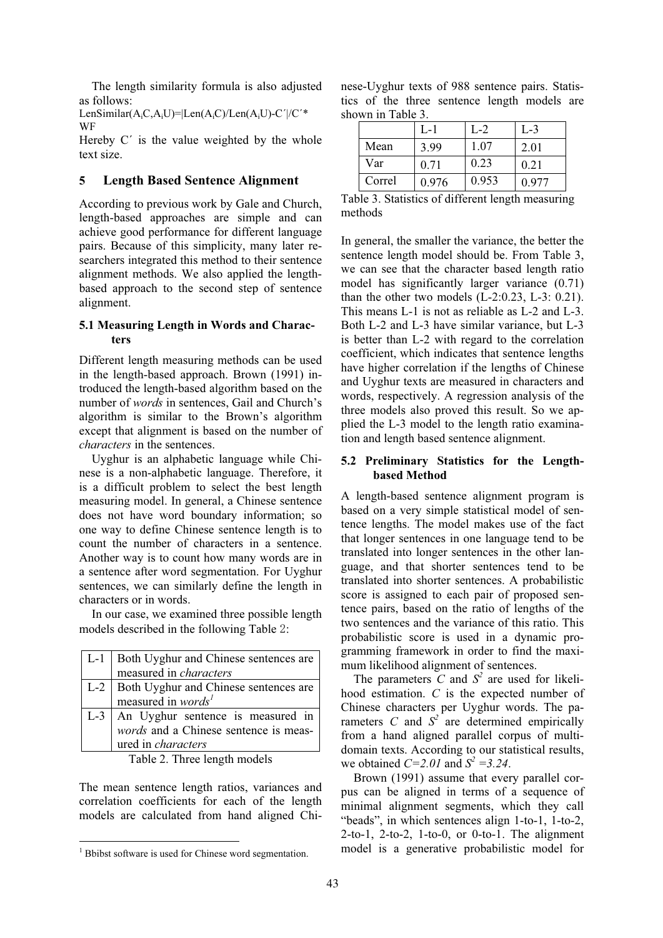The length similarity formula is also adjusted as follows:

LenSimilar( $A_iC,A_iU$ )= $|Len(A_iC)/Len(A_iU)$ -C' $|/C'^*$ WF

Hereby  $C'$  is the value weighted by the whole text size.

# 5 Length Based Sentence Alignment

According to previous work by Gale and Church, length-based approaches are simple and can achieve good performance for different language pairs. Because of this simplicity, many later researchers integrated this method to their sentence alignment methods. We also applied the lengthbased approach to the second step of sentence alignment.

#### 5.1 Measuring Length in Words and Characters

Different length measuring methods can be used in the length-based approach. Brown (1991) introduced the length-based algorithm based on the number of words in sentences, Gail and Church's algorithm is similar to the Brown's algorithm except that alignment is based on the number of characters in the sentences.

Uyghur is an alphabetic language while Chinese is a non-alphabetic language. Therefore, it is a difficult problem to select the best length measuring model. In general, a Chinese sentence does not have word boundary information; so one way to define Chinese sentence length is to count the number of characters in a sentence. Another way is to count how many words are in a sentence after word segmentation. For Uyghur sentences, we can similarly define the length in characters or in words.

In our case, we examined three possible length models described in the following Table 2:

| $L-1$ | Both Uyghur and Chinese sentences are |  |  |  |  |
|-------|---------------------------------------|--|--|--|--|
|       | measured in <i>characters</i>         |  |  |  |  |
| $L-2$ | Both Uyghur and Chinese sentences are |  |  |  |  |
|       | measured in words <sup>1</sup>        |  |  |  |  |
| $L-3$ | An Uyghur sentence is measured in     |  |  |  |  |
|       | words and a Chinese sentence is meas- |  |  |  |  |
|       | ured in <i>characters</i>             |  |  |  |  |
|       | $-11$ $-11$ $-1$                      |  |  |  |  |

Table 2. Three length models

The mean sentence length ratios, variances and correlation coefficients for each of the length models are calculated from hand aligned Chi-

 $\overline{a}$ 

nese-Uyghur texts of 988 sentence pairs. Statistics of the three sentence length models are shown in Table 3.

|        | L-1   | L-2   | L-3   |
|--------|-------|-------|-------|
| Mean   | 3.99  | 1.07  | 2.01  |
| Var    | 0.71  | 0.23  | 0.21  |
| Correl | 0.976 | 0.953 | 0.977 |

Table 3. Statistics of different length measuring methods

In general, the smaller the variance, the better the sentence length model should be. From Table 3, we can see that the character based length ratio model has significantly larger variance (0.71) than the other two models  $(L-2:0.23, L-3: 0.21)$ . This means L-1 is not as reliable as L-2 and L-3. Both L-2 and L-3 have similar variance, but L-3 is better than L-2 with regard to the correlation coefficient, which indicates that sentence lengths have higher correlation if the lengths of Chinese and Uyghur texts are measured in characters and words, respectively. A regression analysis of the three models also proved this result. So we applied the L-3 model to the length ratio examination and length based sentence alignment.

#### 5.2 Preliminary Statistics for the Lengthbased Method

A length-based sentence alignment program is based on a very simple statistical model of sentence lengths. The model makes use of the fact that longer sentences in one language tend to be translated into longer sentences in the other language, and that shorter sentences tend to be translated into shorter sentences. A probabilistic score is assigned to each pair of proposed sentence pairs, based on the ratio of lengths of the two sentences and the variance of this ratio. This probabilistic score is used in a dynamic programming framework in order to find the maximum likelihood alignment of sentences.

The parameters  $\tilde{C}$  and  $S^2$  are used for likelihood estimation. C is the expected number of Chinese characters per Uyghur words. The parameters C and  $S^2$  are determined empirically from a hand aligned parallel corpus of multidomain texts. According to our statistical results, we obtained  $C=2.01$  and  $S^2 = 3.24$ .

Brown (1991) assume that every parallel corpus can be aligned in terms of a sequence of minimal alignment segments, which they call "beads", in which sentences align 1-to-1, 1-to-2, 2-to-1, 2-to-2, 1-to-0, or 0-to-1. The alignment model is a generative probabilistic model for

<sup>&</sup>lt;sup>1</sup> Bbibst software is used for Chinese word segmentation.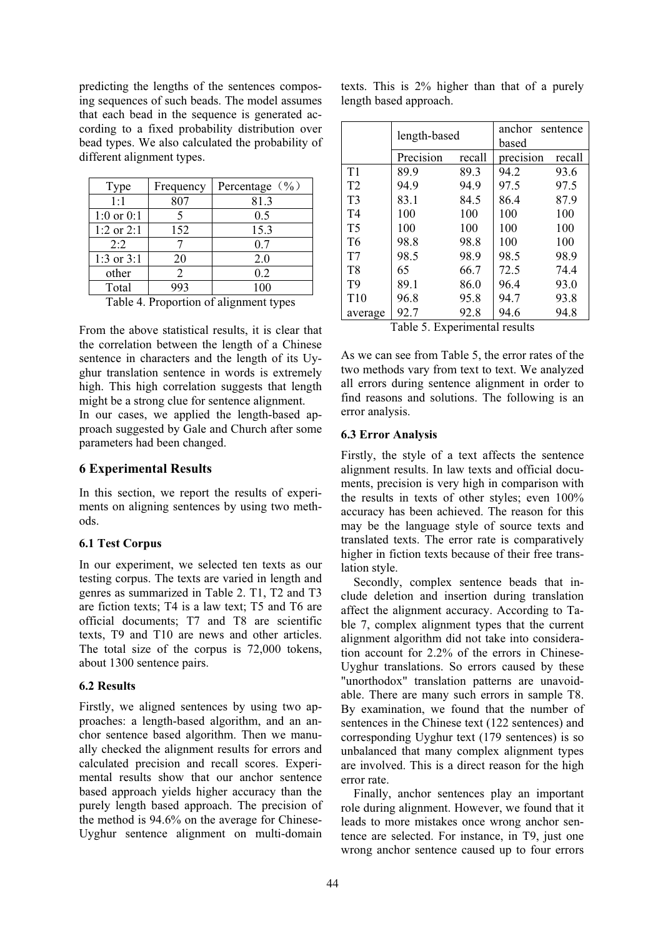predicting the lengths of the sentences composing sequences of such beads. The model assumes that each bead in the sequence is generated according to a fixed probability distribution over bead types. We also calculated the probability of different alignment types.

| Type           | Frequency      | Percentage $(\frac{6}{6})$ |
|----------------|----------------|----------------------------|
| 1:1            | 807            | 81.3                       |
| $1:0$ or $0:1$ | 5              | 0.5                        |
| $1:2$ or $2:1$ | 152            | 15.3                       |
| 2:2            |                | 0.7                        |
| 1:3 or $3:1$   | 20             | 2.0                        |
| other          | $\mathfrak{D}$ | 0.2                        |
| Total          | 993            | 100                        |

Table 4. Proportion of alignment types

From the above statistical results, it is clear that the correlation between the length of a Chinese sentence in characters and the length of its Uyghur translation sentence in words is extremely high. This high correlation suggests that length might be a strong clue for sentence alignment.

In our cases, we applied the length-based approach suggested by Gale and Church after some parameters had been changed.

# 6 Experimental Results

In this section, we report the results of experiments on aligning sentences by using two methods.

# 6.1 Test Corpus

In our experiment, we selected ten texts as our testing corpus. The texts are varied in length and genres as summarized in Table 2. T1, T2 and T3 are fiction texts; T4 is a law text; T5 and T6 are official documents; T7 and T8 are scientific texts, T9 and T10 are news and other articles. The total size of the corpus is 72,000 tokens, about 1300 sentence pairs.

# 6.2 Results

Firstly, we aligned sentences by using two approaches: a length-based algorithm, and an anchor sentence based algorithm. Then we manually checked the alignment results for errors and calculated precision and recall scores. Experimental results show that our anchor sentence based approach yields higher accuracy than the purely length based approach. The precision of the method is 94.6% on the average for Chinese-Uyghur sentence alignment on multi-domain

|                        |  | texts. This is 2% higher than that of a purely |  |  |  |
|------------------------|--|------------------------------------------------|--|--|--|
| length based approach. |  |                                                |  |  |  |

|                | length-based         |        | anchor<br>sentence<br>based        |        |  |
|----------------|----------------------|--------|------------------------------------|--------|--|
|                | Precision            | recall | precision                          | recall |  |
| T1             | 89.9                 | 89.3   | 94.2                               | 93.6   |  |
| T <sub>2</sub> | 94.9                 | 94.9   | 97.5                               | 97.5   |  |
| T <sub>3</sub> | 83.1                 | 84.5   | 86.4                               | 87.9   |  |
| T <sub>4</sub> | 100                  | 100    | 100                                | 100    |  |
| T <sub>5</sub> | 100                  | 100    | 100                                | 100    |  |
| T <sub>6</sub> | 98.8                 | 98.8   | 100                                | 100    |  |
| T7             | 98.5                 | 98.9   | 98.5                               | 98.9   |  |
| T <sub>8</sub> | 65                   | 66.7   | 72.5                               | 74.4   |  |
| T <sub>9</sub> | 89.1                 | 86.0   | 96.4                               | 93.0   |  |
| T10            | 96.8                 | 95.8   | 94.7                               | 93.8   |  |
| average        | 92.7<br>— 11<br>$ -$ | 92.8   | 94.6<br>$\sim$ 1<br>$\blacksquare$ | 94.8   |  |

Table 5. Experimental results

As we can see from Table 5, the error rates of the two methods vary from text to text. We analyzed all errors during sentence alignment in order to find reasons and solutions. The following is an error analysis.

#### 6.3 Error Analysis

Firstly, the style of a text affects the sentence alignment results. In law texts and official documents, precision is very high in comparison with the results in texts of other styles; even 100% accuracy has been achieved. The reason for this may be the language style of source texts and translated texts. The error rate is comparatively higher in fiction texts because of their free translation style.

Secondly, complex sentence beads that include deletion and insertion during translation affect the alignment accuracy. According to Table 7, complex alignment types that the current alignment algorithm did not take into consideration account for 2.2% of the errors in Chinese-Uyghur translations. So errors caused by these "unorthodox" translation patterns are unavoidable. There are many such errors in sample T8. By examination, we found that the number of sentences in the Chinese text (122 sentences) and corresponding Uyghur text (179 sentences) is so unbalanced that many complex alignment types are involved. This is a direct reason for the high error rate.

Finally, anchor sentences play an important role during alignment. However, we found that it leads to more mistakes once wrong anchor sentence are selected. For instance, in T9, just one wrong anchor sentence caused up to four errors